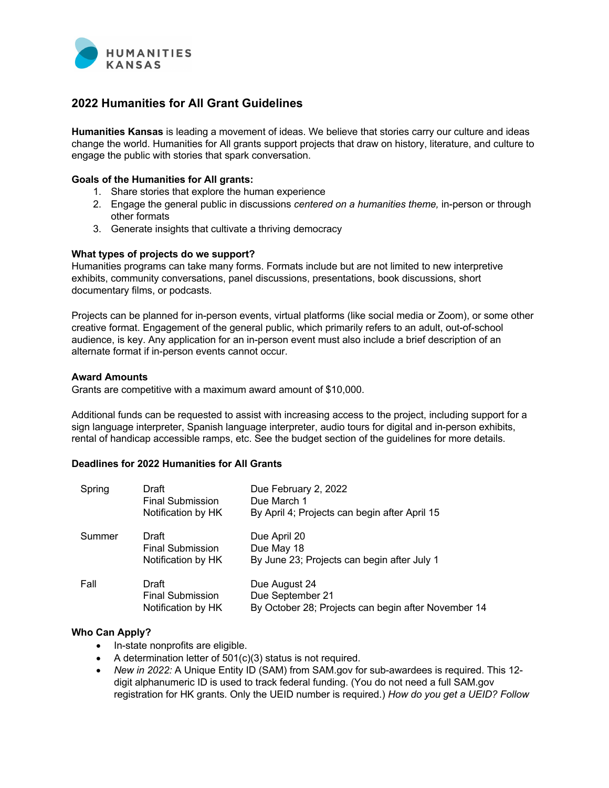

# **2022 Humanities for All Grant Guidelines**

**Humanities Kansas** is leading a movement of ideas. We believe that stories carry our culture and ideas change the world. Humanities for All grants support projects that draw on history, literature, and culture to engage the public with stories that spark conversation.

### **Goals of the Humanities for All grants:**

- 1. Share stories that explore the human experience
- 2. Engage the general public in discussions *centered on a humanities theme,* in-person or through other formats
- 3. Generate insights that cultivate a thriving democracy

## **What types of projects do we support?**

Humanities programs can take many forms. Formats include but are not limited to new interpretive exhibits, community conversations, panel discussions, presentations, book discussions, short documentary films, or podcasts.

Projects can be planned for in-person events, virtual platforms (like social media or Zoom), or some other creative format. Engagement of the general public, which primarily refers to an adult, out-of-school audience, is key. Any application for an in-person event must also include a brief description of an alternate format if in-person events cannot occur.

## **Award Amounts**

Grants are competitive with a maximum award amount of \$10,000.

Additional funds can be requested to assist with increasing access to the project, including support for a sign language interpreter, Spanish language interpreter, audio tours for digital and in-person exhibits, rental of handicap accessible ramps, etc. See the budget section of the guidelines for more details.

## **Deadlines for 2022 Humanities for All Grants**

| Spring | Draft<br><b>Final Submission</b><br>Notification by HK | Due February 2, 2022<br>Due March 1<br>By April 4; Projects can begin after April 15     |
|--------|--------------------------------------------------------|------------------------------------------------------------------------------------------|
| Summer | Draft<br><b>Final Submission</b><br>Notification by HK | Due April 20<br>Due May 18<br>By June 23; Projects can begin after July 1                |
| Fall   | Draft<br><b>Final Submission</b><br>Notification by HK | Due August 24<br>Due September 21<br>By October 28; Projects can begin after November 14 |

## **Who Can Apply?**

- In-state nonprofits are eligible.
- A determination letter of 501(c)(3) status is not required.
- *New in 2022:* A Unique Entity ID (SAM) from SAM.gov for sub-awardees is required. This 12 digit alphanumeric ID is used to track federal funding. (You do not need a full SAM.gov registration for HK grants. Only the UEID number is required.) *How do you get a UEID? Follow*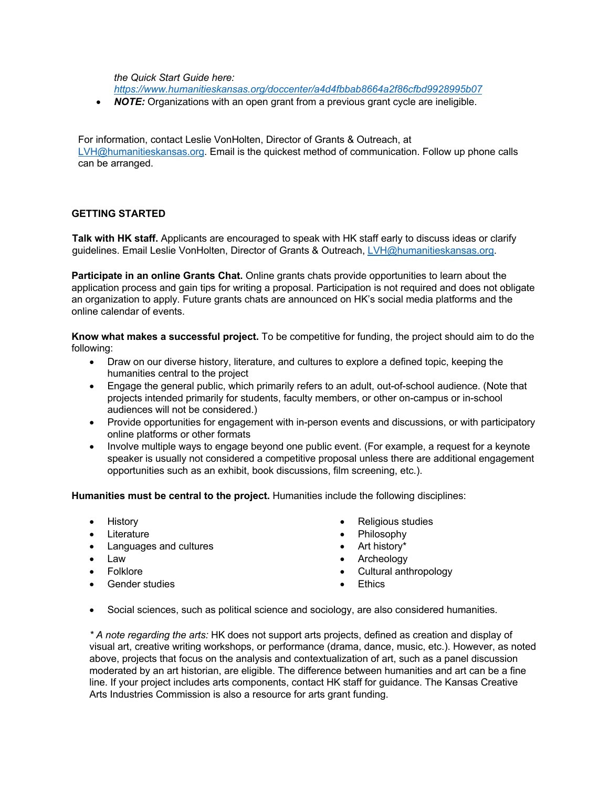*the Quick Start Guide here:* 

*https://www.humanitieskansas.org/doccenter/a4d4fbbab8664a2f86cfbd9928995b07*

• *NOTE:* Organizations with an open grant from a previous grant cycle are ineligible.

For information, contact Leslie VonHolten, Director of Grants & Outreach, at LVH@humanitieskansas.org. Email is the quickest method of communication. Follow up phone calls can be arranged.

# **GETTING STARTED**

**Talk with HK staff.** Applicants are encouraged to speak with HK staff early to discuss ideas or clarify guidelines. Email Leslie VonHolten, Director of Grants & Outreach, LVH@humanitieskansas.org.

**Participate in an online Grants Chat.** Online grants chats provide opportunities to learn about the application process and gain tips for writing a proposal. Participation is not required and does not obligate an organization to apply. Future grants chats are announced on HK's social media platforms and the online calendar of events.

**Know what makes a successful project.** To be competitive for funding, the project should aim to do the following:

- Draw on our diverse history, literature, and cultures to explore a defined topic, keeping the humanities central to the project
- Engage the general public, which primarily refers to an adult, out-of-school audience. (Note that projects intended primarily for students, faculty members, or other on-campus or in-school audiences will not be considered.)
- Provide opportunities for engagement with in-person events and discussions, or with participatory online platforms or other formats
- Involve multiple ways to engage beyond one public event. (For example, a request for a keynote speaker is usually not considered a competitive proposal unless there are additional engagement opportunities such as an exhibit, book discussions, film screening, etc.).

**Humanities must be central to the project.** Humanities include the following disciplines:

- History
- Literature
- Languages and cultures
- Law
- Folklore
- Gender studies
- Religious studies
- Philosophy
- Art history\*
- **Archeology**
- Cultural anthropology
- **Ethics**
- Social sciences, such as political science and sociology, are also considered humanities.

*\* A note regarding the arts:* HK does not support arts projects, defined as creation and display of visual art, creative writing workshops, or performance (drama, dance, music, etc.). However, as noted above, projects that focus on the analysis and contextualization of art, such as a panel discussion moderated by an art historian, are eligible. The difference between humanities and art can be a fine line. If your project includes arts components, contact HK staff for guidance. The Kansas Creative Arts Industries Commission is also a resource for arts grant funding.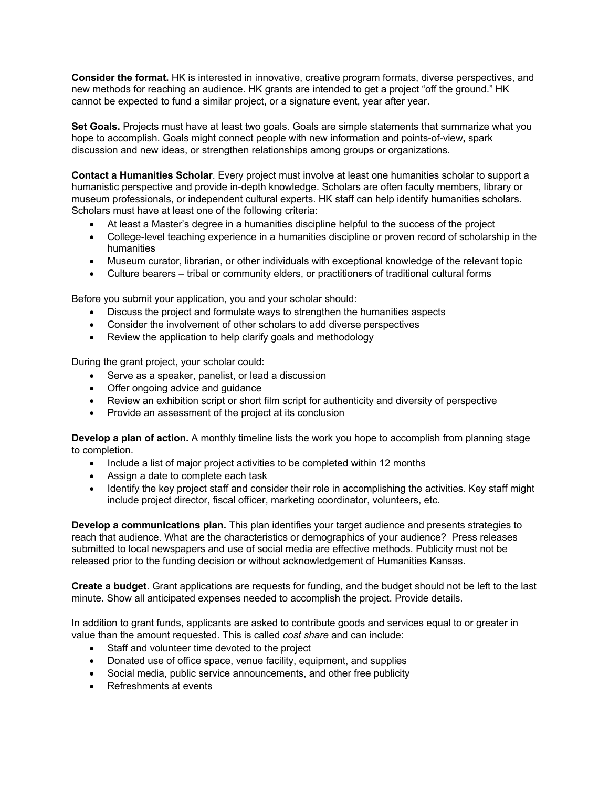**Consider the format.** HK is interested in innovative, creative program formats, diverse perspectives, and new methods for reaching an audience. HK grants are intended to get a project "off the ground." HK cannot be expected to fund a similar project, or a signature event, year after year.

**Set Goals.** Projects must have at least two goals. Goals are simple statements that summarize what you hope to accomplish. Goals might connect people with new information and points-of-view**,** spark discussion and new ideas, or strengthen relationships among groups or organizations.

**Contact a Humanities Scholar**. Every project must involve at least one humanities scholar to support a humanistic perspective and provide in-depth knowledge. Scholars are often faculty members, library or museum professionals, or independent cultural experts. HK staff can help identify humanities scholars. Scholars must have at least one of the following criteria:

- At least a Master's degree in a humanities discipline helpful to the success of the project
- College-level teaching experience in a humanities discipline or proven record of scholarship in the humanities
- Museum curator, librarian, or other individuals with exceptional knowledge of the relevant topic
- Culture bearers tribal or community elders, or practitioners of traditional cultural forms

Before you submit your application, you and your scholar should:

- Discuss the project and formulate ways to strengthen the humanities aspects
- Consider the involvement of other scholars to add diverse perspectives
- Review the application to help clarify goals and methodology

During the grant project, your scholar could:

- Serve as a speaker, panelist, or lead a discussion
- Offer ongoing advice and guidance
- Review an exhibition script or short film script for authenticity and diversity of perspective
- Provide an assessment of the project at its conclusion

**Develop a plan of action.** A monthly timeline lists the work you hope to accomplish from planning stage to completion.

- Include a list of major project activities to be completed within 12 months
- Assign a date to complete each task
- Identify the key project staff and consider their role in accomplishing the activities. Key staff might include project director, fiscal officer, marketing coordinator, volunteers, etc.

**Develop a communications plan.** This plan identifies your target audience and presents strategies to reach that audience. What are the characteristics or demographics of your audience? Press releases submitted to local newspapers and use of social media are effective methods. Publicity must not be released prior to the funding decision or without acknowledgement of Humanities Kansas.

**Create a budget**. Grant applications are requests for funding, and the budget should not be left to the last minute. Show all anticipated expenses needed to accomplish the project. Provide details.

In addition to grant funds, applicants are asked to contribute goods and services equal to or greater in value than the amount requested. This is called *cost share* and can include:

- Staff and volunteer time devoted to the project
- Donated use of office space, venue facility, equipment, and supplies
- Social media, public service announcements, and other free publicity
- Refreshments at events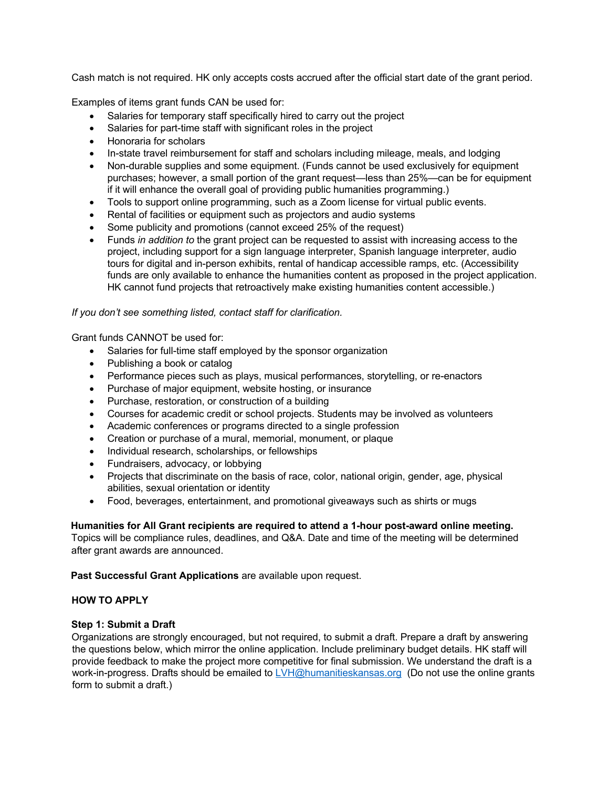Cash match is not required. HK only accepts costs accrued after the official start date of the grant period.

Examples of items grant funds CAN be used for:

- Salaries for temporary staff specifically hired to carry out the project
- Salaries for part-time staff with significant roles in the project
- Honoraria for scholars
- In-state travel reimbursement for staff and scholars including mileage, meals, and lodging
- Non-durable supplies and some equipment. (Funds cannot be used exclusively for equipment purchases; however, a small portion of the grant request—less than 25%—can be for equipment if it will enhance the overall goal of providing public humanities programming.)
- Tools to support online programming, such as a Zoom license for virtual public events.
- Rental of facilities or equipment such as projectors and audio systems
- Some publicity and promotions (cannot exceed 25% of the request)
- Funds *in addition to* the grant project can be requested to assist with increasing access to the project, including support for a sign language interpreter, Spanish language interpreter, audio tours for digital and in-person exhibits, rental of handicap accessible ramps, etc. (Accessibility funds are only available to enhance the humanities content as proposed in the project application. HK cannot fund projects that retroactively make existing humanities content accessible.)

*If you don't see something listed, contact staff for clarification.*

Grant funds CANNOT be used for:

- Salaries for full-time staff employed by the sponsor organization
- Publishing a book or catalog
- Performance pieces such as plays, musical performances, storytelling, or re-enactors
- Purchase of major equipment, website hosting, or insurance
- Purchase, restoration, or construction of a building
- Courses for academic credit or school projects. Students may be involved as volunteers
- Academic conferences or programs directed to a single profession
- Creation or purchase of a mural, memorial, monument, or plaque
- Individual research, scholarships, or fellowships
- Fundraisers, advocacy, or lobbying
- Projects that discriminate on the basis of race, color, national origin, gender, age, physical abilities, sexual orientation or identity
- Food, beverages, entertainment, and promotional giveaways such as shirts or mugs

# **Humanities for All Grant recipients are required to attend a 1-hour post-award online meeting.**

Topics will be compliance rules, deadlines, and Q&A. Date and time of the meeting will be determined after grant awards are announced.

**Past Successful Grant Applications** are available upon request.

# **HOW TO APPLY**

# **Step 1: Submit a Draft**

Organizations are strongly encouraged, but not required, to submit a draft. Prepare a draft by answering the questions below, which mirror the online application. Include preliminary budget details. HK staff will provide feedback to make the project more competitive for final submission. We understand the draft is a work-in-progress. Drafts should be emailed to LVH@humanitieskansas.org (Do not use the online grants form to submit a draft.)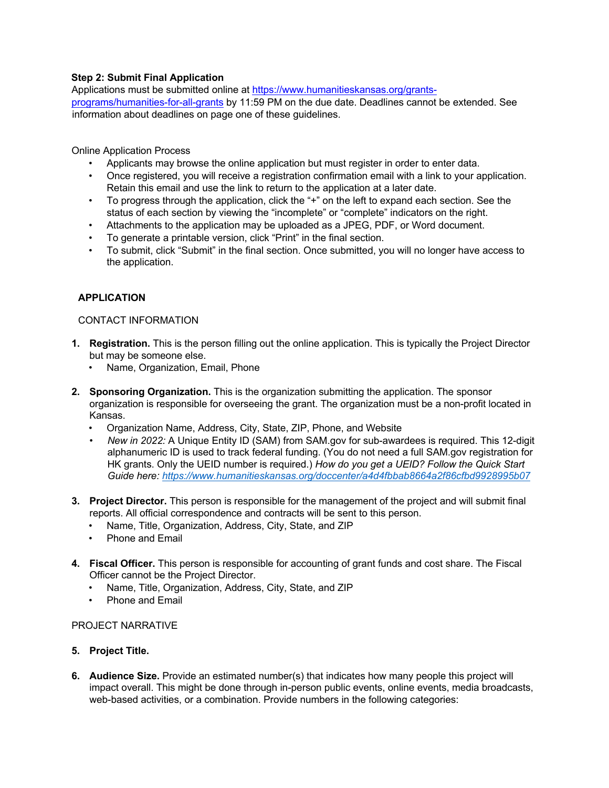# **Step 2: Submit Final Application**

Applications must be submitted online at https://www.humanitieskansas.org/grantsprograms/humanities-for-all-grants by 11:59 PM on the due date. Deadlines cannot be extended. See information about deadlines on page one of these guidelines.

Online Application Process

- Applicants may browse the online application but must register in order to enter data.
- Once registered, you will receive a registration confirmation email with a link to your application. Retain this email and use the link to return to the application at a later date.
- To progress through the application, click the "+" on the left to expand each section. See the status of each section by viewing the "incomplete" or "complete" indicators on the right.
- Attachments to the application may be uploaded as a JPEG, PDF, or Word document.
- To generate a printable version, click "Print" in the final section.
- To submit, click "Submit" in the final section. Once submitted, you will no longer have access to the application.

# **APPLICATION**

## CONTACT INFORMATION

- **1. Registration.** This is the person filling out the online application. This is typically the Project Director but may be someone else.
	- Name, Organization, Email, Phone
- **2. Sponsoring Organization.** This is the organization submitting the application. The sponsor organization is responsible for overseeing the grant. The organization must be a non-profit located in Kansas.
	- Organization Name, Address, City, State, ZIP, Phone, and Website
	- *New in 2022:* A Unique Entity ID (SAM) from SAM.gov for sub-awardees is required. This 12-digit alphanumeric ID is used to track federal funding. (You do not need a full SAM.gov registration for HK grants. Only the UEID number is required.) *How do you get a UEID? Follow the Quick Start Guide here: https://www.humanitieskansas.org/doccenter/a4d4fbbab8664a2f86cfbd9928995b07*
- **3. Project Director.** This person is responsible for the management of the project and will submit final reports. All official correspondence and contracts will be sent to this person.
	- Name, Title, Organization, Address, City, State, and ZIP
	- Phone and Email
- **4. Fiscal Officer.** This person is responsible for accounting of grant funds and cost share. The Fiscal Officer cannot be the Project Director.
	- Name, Title, Organization, Address, City, State, and ZIP
	- Phone and Email

### PROJECT NARRATIVE

- **5. Project Title.**
- **6. Audience Size.** Provide an estimated number(s) that indicates how many people this project will impact overall. This might be done through in-person public events, online events, media broadcasts, web-based activities, or a combination. Provide numbers in the following categories: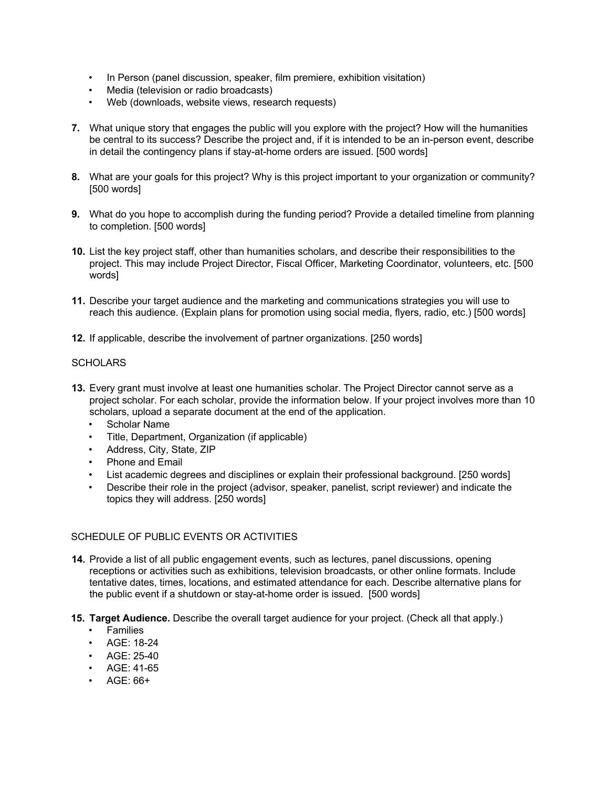- In Person (panel discussion, speaker, film premiere, exhibition visitation)
- Media (television or radio broadcasts)
- Web (downloads, website views, research requests)
- **7.** What unique story that engages the public will you explore with the project? How will the humanities be central to its success? Describe the project and, if it is intended to be an in-person event, describe in detail the contingency plans if stay-at-home orders are issued. [500 words]
- **8.** What are your goals for this project? Why is this project important to your organization or community? [500 words]
- **9.** What do you hope to accomplish during the funding period? Provide a detailed timeline from planning to completion. [500 words]
- **10.** List the key project staff, other than humanities scholars, and describe their responsibilities to the project. This may include Project Director, Fiscal Officer, Marketing Coordinator, volunteers, etc. [500 words]
- **11.** Describe your target audience and the marketing and communications strategies you will use to reach this audience. (Explain plans for promotion using social media, flyers, radio, etc.) [500 words]
- **12.** If applicable, describe the involvement of partner organizations. [250 words]

#### **SCHOLARS**

- **13.** Every grant must involve at least one humanities scholar. The Project Director cannot serve as a project scholar. For each scholar, provide the information below. If your project involves more than 10 scholars, upload a separate document at the end of the application.
	- Scholar Name
	- Title, Department, Organization (if applicable)
	- Address, City, State, ZIP
	- Phone and Email
	- List academic degrees and disciplines or explain their professional background. [250 words]
	- Describe their role in the project (advisor, speaker, panelist, script reviewer) and indicate the topics they will address. [250 words]

### SCHEDULE OF PUBLIC EVENTS OR ACTIVITIES

- **14.** Provide a list of all public engagement events, such as lectures, panel discussions, opening receptions or activities such as exhibitions, television broadcasts, or other online formats. Include tentative dates, times, locations, and estimated attendance for each. Describe alternative plans for the public event if a shutdown or stay-at-home order is issued. [500 words]
- **15. Target Audience.** Describe the overall target audience for your project. (Check all that apply.)
	- **Families**
	- AGE: 18-24
	- AGE: 25-40
	- AGE: 41-65
	- AGE: 66+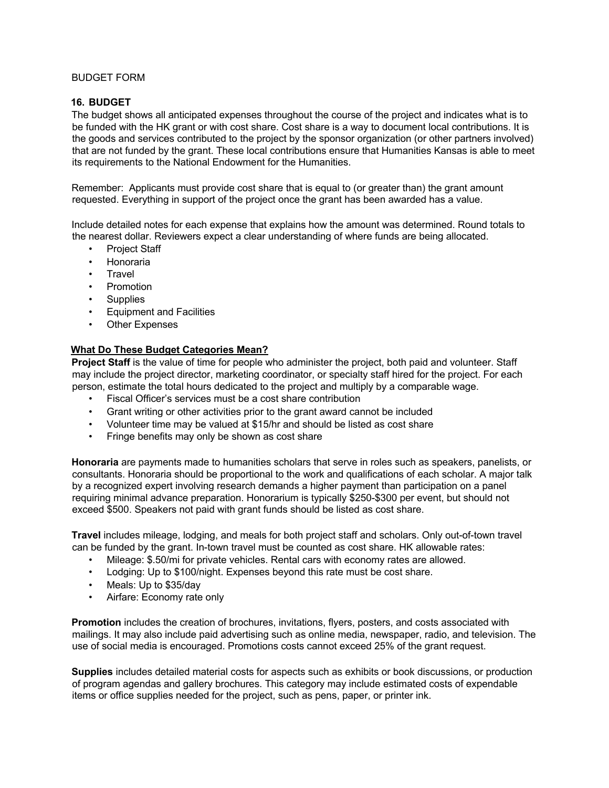# BUDGET FORM

## **16. BUDGET**

The budget shows all anticipated expenses throughout the course of the project and indicates what is to be funded with the HK grant or with cost share. Cost share is a way to document local contributions. It is the goods and services contributed to the project by the sponsor organization (or other partners involved) that are not funded by the grant. These local contributions ensure that Humanities Kansas is able to meet its requirements to the National Endowment for the Humanities.

Remember: Applicants must provide cost share that is equal to (or greater than) the grant amount requested. Everything in support of the project once the grant has been awarded has a value.

Include detailed notes for each expense that explains how the amount was determined. Round totals to the nearest dollar. Reviewers expect a clear understanding of where funds are being allocated.

- Project Staff
- Honoraria
- **Travel**
- Promotion
- **Supplies**
- Equipment and Facilities
- Other Expenses

## **What Do These Budget Categories Mean?**

**Project Staff** is the value of time for people who administer the project, both paid and volunteer. Staff may include the project director, marketing coordinator, or specialty staff hired for the project. For each person, estimate the total hours dedicated to the project and multiply by a comparable wage.

- Fiscal Officer's services must be a cost share contribution
- Grant writing or other activities prior to the grant award cannot be included
- Volunteer time may be valued at \$15/hr and should be listed as cost share
- Fringe benefits may only be shown as cost share

**Honoraria** are payments made to humanities scholars that serve in roles such as speakers, panelists, or consultants. Honoraria should be proportional to the work and qualifications of each scholar. A major talk by a recognized expert involving research demands a higher payment than participation on a panel requiring minimal advance preparation. Honorarium is typically \$250-\$300 per event, but should not exceed \$500. Speakers not paid with grant funds should be listed as cost share.

**Travel** includes mileage, lodging, and meals for both project staff and scholars. Only out-of-town travel can be funded by the grant. In-town travel must be counted as cost share. HK allowable rates:

- Mileage: \$.50/mi for private vehicles. Rental cars with economy rates are allowed.
- Lodging: Up to \$100/night. Expenses beyond this rate must be cost share.
- Meals: Up to \$35/day
- Airfare: Economy rate only

**Promotion** includes the creation of brochures, invitations, flyers, posters, and costs associated with mailings. It may also include paid advertising such as online media, newspaper, radio, and television. The use of social media is encouraged. Promotions costs cannot exceed 25% of the grant request.

**Supplies** includes detailed material costs for aspects such as exhibits or book discussions, or production of program agendas and gallery brochures. This category may include estimated costs of expendable items or office supplies needed for the project, such as pens, paper, or printer ink.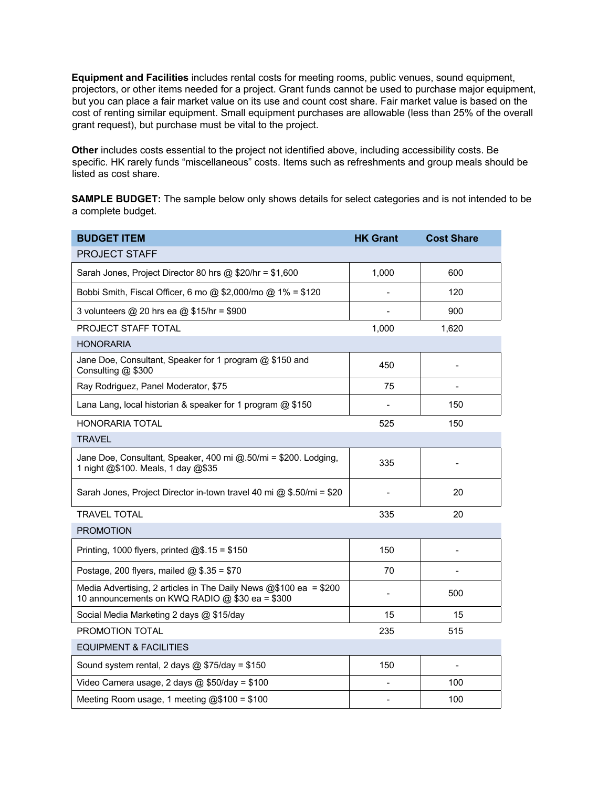**Equipment and Facilities** includes rental costs for meeting rooms, public venues, sound equipment, projectors, or other items needed for a project. Grant funds cannot be used to purchase major equipment, but you can place a fair market value on its use and count cost share. Fair market value is based on the cost of renting similar equipment. Small equipment purchases are allowable (less than 25% of the overall grant request), but purchase must be vital to the project.

**Other** includes costs essential to the project not identified above, including accessibility costs. Be specific. HK rarely funds "miscellaneous" costs. Items such as refreshments and group meals should be listed as cost share.

**SAMPLE BUDGET:** The sample below only shows details for select categories and is not intended to be a complete budget.

| <b>BUDGET ITEM</b>                                                                                                    | <b>HK Grant</b> | <b>Cost Share</b> |  |  |
|-----------------------------------------------------------------------------------------------------------------------|-----------------|-------------------|--|--|
| <b>PROJECT STAFF</b>                                                                                                  |                 |                   |  |  |
| Sarah Jones, Project Director 80 hrs @ \$20/hr = \$1,600                                                              | 1,000           | 600               |  |  |
| Bobbi Smith, Fiscal Officer, 6 mo @ \$2,000/mo @ 1% = \$120                                                           |                 | 120               |  |  |
| 3 volunteers @ 20 hrs ea @ \$15/hr = \$900                                                                            |                 | 900               |  |  |
| <b>PROJECT STAFF TOTAL</b>                                                                                            | 1,000           | 1,620             |  |  |
| <b>HONORARIA</b>                                                                                                      |                 |                   |  |  |
| Jane Doe, Consultant, Speaker for 1 program @ \$150 and<br>Consulting @ \$300                                         | 450             |                   |  |  |
| Ray Rodriguez, Panel Moderator, \$75                                                                                  | 75              |                   |  |  |
| Lana Lang, local historian & speaker for 1 program @ \$150                                                            |                 | 150               |  |  |
| <b>HONORARIA TOTAL</b>                                                                                                | 525             | 150               |  |  |
| <b>TRAVEL</b>                                                                                                         |                 |                   |  |  |
| Jane Doe, Consultant, Speaker, 400 mi @.50/mi = \$200. Lodging,<br>1 night @\$100. Meals, 1 day @\$35                 | 335             |                   |  |  |
| Sarah Jones, Project Director in-town travel 40 mi @ \$.50/mi = \$20                                                  |                 | 20                |  |  |
| <b>TRAVEL TOTAL</b>                                                                                                   | 335             | 20                |  |  |
| <b>PROMOTION</b>                                                                                                      |                 |                   |  |  |
| Printing, 1000 flyers, printed $@$.15 = $150$                                                                         | 150             |                   |  |  |
| Postage, 200 flyers, mailed $@$ , \$.35 = \$70                                                                        | 70              |                   |  |  |
| Media Advertising, 2 articles in The Daily News $@$100$ ea = \$200<br>10 announcements on KWQ RADIO @ \$30 ea = \$300 |                 | 500               |  |  |
| Social Media Marketing 2 days @ \$15/day                                                                              | 15              | 15                |  |  |
| PROMOTION TOTAL                                                                                                       | 235             | 515               |  |  |
| <b>EQUIPMENT &amp; FACILITIES</b>                                                                                     |                 |                   |  |  |
| Sound system rental, 2 days $@$ \$75/day = \$150                                                                      | 150             |                   |  |  |
| Video Camera usage, 2 days $@$ \$50/day = \$100                                                                       |                 | 100               |  |  |
| Meeting Room usage, 1 meeting @\$100 = \$100                                                                          |                 | 100               |  |  |